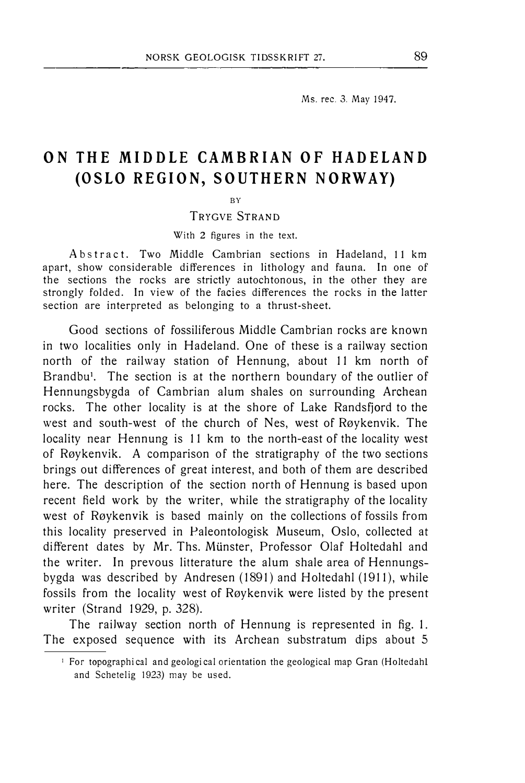Ms. rec. 3. May 1947.

## ON THE MIDDLE CAMBRIAN OF HADELAND (OSLO REGION, SOUTHERN NORWAY)

BY

TRYGVE STRAND

With 2 figures in the text.

Abstract. Two Middle Cambrian sections in Hadeland, 11 km apart, show considerable differences in lithology and fauna. In one of the sections the rocks are strictly autochtonous, in the other they are strongly folded. In view of the facies differences the rocks in the latter section are interpreted as belonging to a thrust-sheet.

Good sections of fossiliferous Middle Cambrian rocks are known in two localities only in Hadeland. One of these is a railway section north of the railway station of Hennung, about 11 km north of Brandbu<sup>1</sup>. The section is at the northern boundary of the outlier of Hennungsbygda of Cambrian alum shales on surrounding Archean rocks. The other locality is at the shore of Lake Randsfjord to the west and south-west of the church of Nes, west of Røykenvik. The locality near Hennung is 11 km to the north-east of the locality west of Røykenvik. A comparison of the stratigraphy of the two sections brings out differences of great interest, and both of them are described here. The description of the section north of Hennung is based upon recent field work by the writer, while the stratigraphy of the locality west of Røykenvik is based mainly on the collections of fossils from this locality preserved in Paleontologisk Museum, Oslo, collected at different dates by Mr. Ths. Miinster, Professor Olaf Holtedahl and the writer. In prevous litterature the alum shale area of Hennungsbygda was described by Andresen (1891) and Holtedahl (1911), while fossils from the locality west of Røykenvik were listed by the present writer (Strand 1929, p. 328).

The railway section north of Hennung is represented in fig. l. The exposed sequence with its Archean substratum dips about 5

<sup>&</sup>lt;sup>1</sup> For topographical and geological orientation the geological map Gran (Holtedahl and Schetelig 1923) may be used.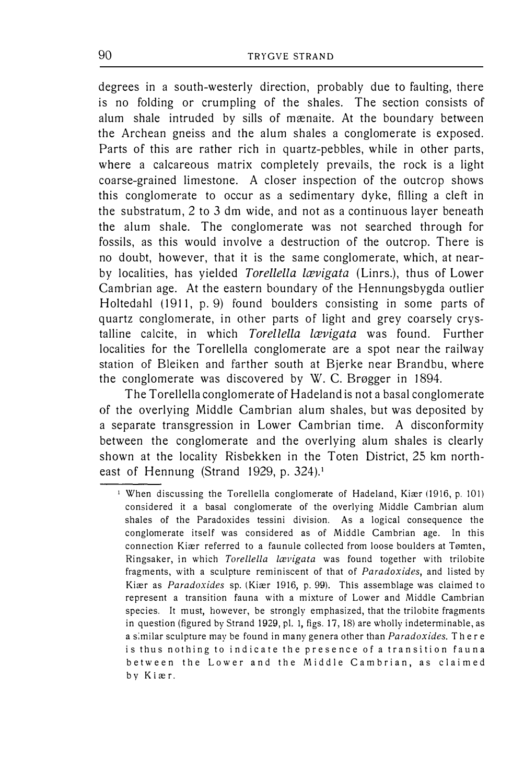degrees in a south-westerly direction, probably due to faulting, there is no falding or crumpling of the shales. The section consists of alum shale intruded by sills of mænaite. At the boundary between the Archean gneiss and the alum shales a conglomerate is exposed. Parts of this are rather rich in quartz-pebbles, while in other parts, where a calcareous matrix completely prevails, the rock is a light coarse-grained limestone. A closer inspection of the outcrop shows this conglomerate to occur as a sedimentary dyke, filling a cleft in the substratum, 2 to 3 dm wide, and not as a continuous layer beneath the alum shale. The conglomerate was not searched through for fossils, as this would involve a destruction of the outcrop. There is no doubt, however, that it is the same conglomerate, which, at nearby localities, has yielded Torellella lævigata (Linrs.), thus of Lower Cambrian age. At the eastern boundary of the Hennungsbygda outlier Holtedahl (1911, p. 9) found boulders consisting in some parts of quartz conglomerate, in other parts of light and grey coarsely crystalline calcite, in which Torellella lævigata was found. Further localities for the Torellella conglomerate are a spot near the railway station of Bleiken and farther south at Bjerke near Brandbu, where the conglomerate was discovered by W. C. Brøgger in 1894.

The Torellella conglomerate of Hadeland is not a basal conglomerate of the overlying Middle Cambrian alum shales, but was deposited by a separate transgression in Lower Cambrian time. A disconformity between the conglomerate and the overlying alum shales is clearly shown at the locality Risbekken in the Toten District, 25 km northeast of Hennung (Strand 1929, p. 324).<sup>1</sup>

<sup>&</sup>lt;sup>1</sup> When discussing the Torellella conglomerate of Hadeland, Kiær (1916, p. 101) considered it a basal conglomerate of the overlying Middle Cambrian alum shales of the Paradoxides tessini division. As a logical consequence the conglomerate itself was considered as of Middle Cambrian age. ln this connection Kiær referred to a faunule collected from loose boulders at Tømten, Ringsaker, in which Torellella lævigata was found together with trilobite fragments, with a sculpture reminiscent of that of Paradoxides, and listed by Kiær as Paradoxides sp. (Kiær 1916, p. 99). This assemblage was claimed to represent a transition fauna with a mixture of Lower and Middle Cambrian species. It must, however, be strongly emphasized, that the trilobite fragments in question (figured by Strand 1929, pl. 1, figs. 17, 18) are wholly indeterminable, as a similar sculpture may be found in many genera other than Paradoxides. There is thus nothing to indicate the presence of a transition fauna between the Lower and the Middle Cambrian, as claimed by Kiæ r.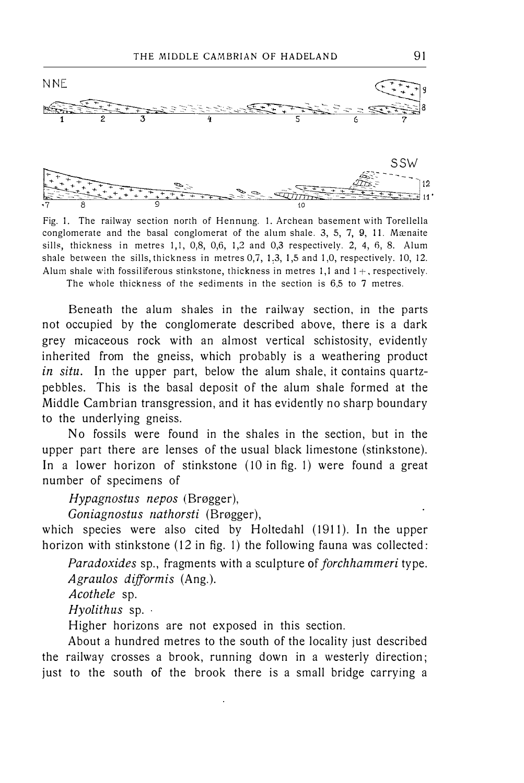

Fig. l. The railway section north of Hennung. l. Archean basement with Torellella conglomerate and the basal conglomerat of the alum shale. 3, 5, 7, 9, Il. Mænaite sills, thickness in metres 1,1, 0,8, 0,6, 1,2 and 0,3 respectively. 2, 4, 6, 8. Alum shale between the sills, thickness in metres 0,7, 1,3, 1,5 and 1,0, respectively. 10, 12. Alum shale with fossiliferous stinkstone, thickness in metres 1,1 and  $1+$ , respectively.

The whole thickness of the sediments in the section is 6,5 to 7 metres.

Beneath the alum shales in the railway section, in the parts not occupied by the conglomerate described above, there is a dark grey micaceous rock with an almost vertical schistosity, evidently inherited from the gneiss, which probably is a weathering product in situ. In the upper part, below the alum shale, it contains quartzpebbles. This is the basal deposit of the alum shale formed at the Middle Cambrian transgression, and it has evidently no sharp boundary to the underlying gneiss.

No fossils were found in the shales in the section, but in the upper part there are lenses of the usual black limestone (stinkstone). In a lower horizon of stinkstone (10 in fig. 1) were found a great number of specimens of

Hypagnostus nepos (Brøgger),

Goniagnostus nathorsti (Brøgger),

which species were also cited by Holtedahl (1911). In the upper horizon with stinkstone (12 in fig. 1) the following fauna was collected:

Paradoxides sp., fragments with a sculpture of forchhammeri type. Agraulos difformis (Ang.).

Acothele sp.

Hyolithus sp.

Higher horizons are not exposed in this section.

About a hundred metres to the south of the locality just described the railway crosses a brook, running down in a westerly direction; just to the south of the brook there is a small bridge carrying a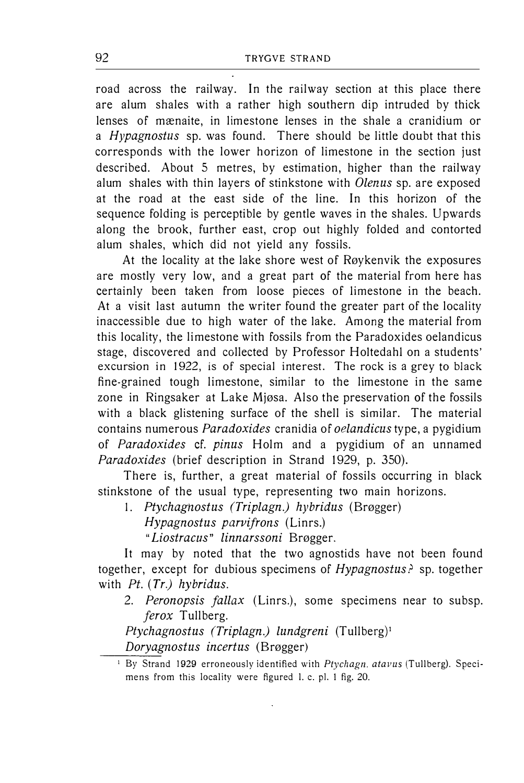road across the railway. In the railway section at this place there are alum shales with a rather high southern dip intruded by thick lenses of mænaite, in limestone lenses in the shale a cranidium or a *Hypagnostus* sp. was found. There should be little doubt that this corresponds with the lower horizon of limestone in the section just described. About 5 metres, by estimation, higher than the railway alum shales with thin layers of stinkstone with *Olenus* sp. are exposed at the road at the east side of the line. In this horizon of the sequence folding is perceptible by gentle waves in the shales. Upwards along the brook, further east, crop out highly folded and contorted alum shales, which did not yield any fossils.

At the locality at the lake shore west of Røykenvik the exposures are mostly very low, and a great part of the material from here has certainly been taken from loose pieces of limestone in the beach. At a visit last autumn the writer found the greater part of the locality inaccessible due to high water of the lake. Among the material from this locality, the limestone with fossils from the Paradoxides oelandicus stage, discovered and collected by Professor Holtedahl on a students' excursion in 1922, is of special interest. The rock is a grey to black fine-grained tough limestone, similar to the limestone in the same zone in Ringsaker at Lake Mjøsa. Also the preservation of the fossils with a black glistening surface of the shell is similar. The material contains numerous Paradoxides cranidia of oelandicus type, a pygidium of Paradoxides cf. pinus Holm and a pygidium of an unnamed Paradoxides (brief description in Strand 1929, p. 350).

There is, further, a great material of fossils occurring in black stinkstone of the usual type, representing two main horizons.

l. Ptychagnostus (Triplagn.) hybridus (Brøgger)

Hypagnostus parvifrons (Linrs.)

"Liostracus" linnarssoni Brøgger.

It may by noted that the two agnostids have not been found together, except for dubious specimens of Hypagnostus? sp. together with  $Pt.$  (Tr.) hybridus.

2. Peronopsis fallax (Linrs.), some specimens near to subsp. ferox Tullberg.

Ptychagnostus (Triplagn.) lundgreni (Tullberg)<sup>1</sup>

Doryagnostus incertus (Brøgger)

<sup>&</sup>lt;sup>1</sup> By Strand 1929 erroneously identified with Ptychagn. atavus (Tullberg). Specimens from this Jocality were figured l. c. pl. l fig. 20.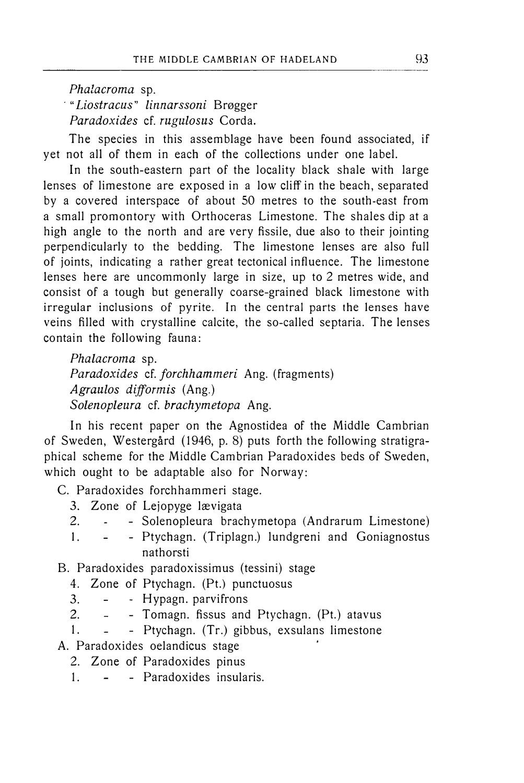Phalacroma sp. "Liostracus" linnarssoni Brøgger Paradoxides cf. rugulosus Corda.

The species in this assemblage have been found associated, if yet not all of them in each of the collections under one label.

In the south-eastern part of the locality black shale with large lenses of limestone are exposed in a low cliff in the beach, separated by a covered interspace of about 50 metres to the south-east from a small promontory with Orthoceras Limestone. The shales dip at a high angle to the north and are very fissile, due also to their jointing perpendicularly to the bedding. The limestone lenses are also full of joints, indicating a rather great tectonical influence. The limestone lenses here are uncommonly large in size, up to 2 metres wide, and consist of a tough but generally coarse-grained black limestone with irregular inclusions of pyrite. In the central parts the lenses have veins filled with crystalline calcite, the so-called septaria. The lenses contain the following fauna:

Phalacroma sp. Paradoxides cf. forchhammeri Ang. (fragments) Agraulos difformis (Ang.) Solenopleura cf. brachymetopa Ang.

In his recent paper on the Agnostidea of the Middle Cambrian of Sweden, Westergård ( 1946, p. 8) puts forth the following stratigraphical scheme for the Middle Cambrian Paradoxides beds of Sweden, which ought to be adaptable also for Norway:

C. Paradoxides forchhammeri stage.

- 3. Zone of Lejopyge lævigata
- 2. Solenopleura brachymetopa (Andrarum Limestone)
- l. Ptychagn. (Triplagn.) lundgreni and Goniagnostus nathorsti

B. Paradoxides paradoxissimus (tessini) stage

- 4. Zone of Ptychagn. (Pt.) punctuosus
- 3. - Hypagn. parvifrons
- 2. Tomagn. fissus and Ptychagn. (Pt.) atavus
- 1. Ptychagn. (Tr.) gibbus, exsulans limestone
- A. Paradoxides oelandicus stage
	- 2. Zone of Paradoxides pinus
	- 1. Paradoxides insularis.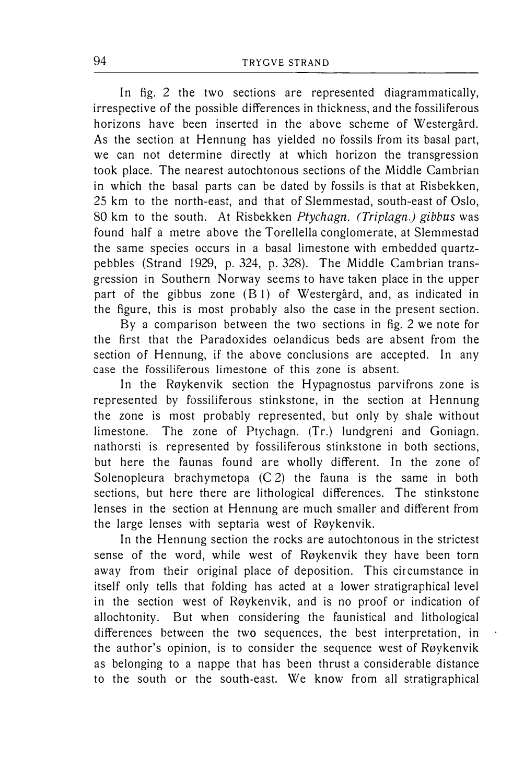In fig. 2 the two sections are represented diagrammatically, irrespective of the possible differences in thickness, and the fossiliferous horizons have been inserted in the above scheme of Westergård. As the section at Hennung has yielded no fossils from its basal part, we can not determine directly at which horizon the transgression took place. The nearest autochtonous sections of the Middle Cambrian in which the basal parts can be dated by fossils is that at Risbekken, 25 km to the north-east, and that of Slemmestad, south-east of Oslo, 80 km to the south. At Risbekken Ptychagn. (Triplagn.) gibbus was found half a metre above the Torellella conglomerate, at Slemmestad the same species occurs in a basal limestone with embedded quartzpebbles (Strand 1929, p. 324, p. 328). The Middle Cambrian transgression in Southern Norway seems to have taken place in the upper part of the gibbus zone (B l) of Westergård, and, as indicated in the figure, this is most probably also the case in the present section.

By a comparison between the two sections in fig. 2 we note for the first that the Paradoxides oelandicus beds are absent from the section of Hennung, if the above conclusions are accepted. In any case the fossiliferous limestone of this zone is absent.

In the Røykenvik section the Hypagnostus parvifrons zone is represented by fossiliferous stinkstone, in the section at Hennung the zone is most probably represented, but only by shale without limestone. The zone of Ptychagn. (Tr.) lundgreni and Goniagn. nathorsti is represented by fossiliferous stinkstone in both sections, but here the faunas found are wholly different. In the zone of Solenopleura brachymetopa  $(C 2)$  the fauna is the same in both sections, but here there are lithological differences. The stinkstone lenses in the section at Hennung are much smaller and different from the large lenses with septaria west of Røykenvik.

In the Hennung section the rocks are autochtonous in the strictest sense of the word, while west of Røykenvik they have been torn away from their original place of deposition. This circumstance in itself only tells that folding has acted at a lower stratigraphical level in the section west of Røykenvik, and is no proof or indication of allochtonity. But when considering the faunistical and lithological differences between the two sequences, the best interpretation, in the author's opinion, is to consider the sequence west of Røykenvik as belonging to a nappe that has been thrust a considerable distance to the south or the south-east. We know from all stratigraphical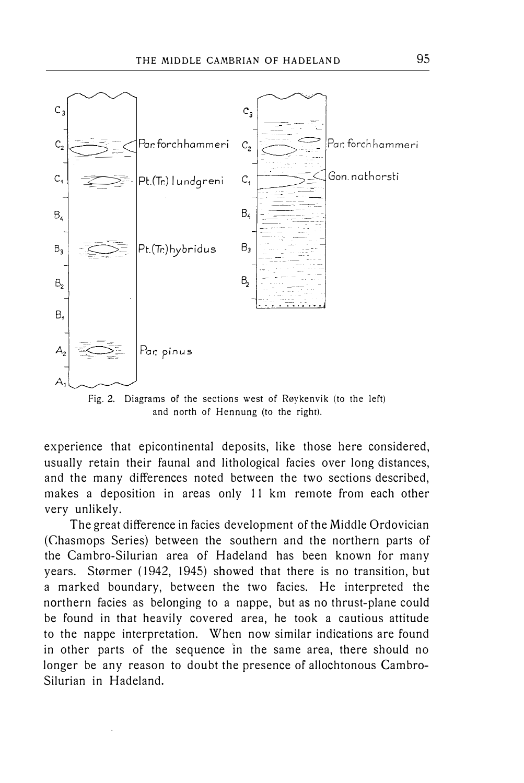

Fig. 2. Diagrams of the sections west of Røykenvik (to the left) and north of Hennung (to the right).

experience that epicontinental deposits, like those here considered, usually retain their faunal and lithological facies over long distances, and the many differences noted between the two sections described, makes a deposition in areas only 11 km remote from each other very unlikely.

The great difference in facies development of the Middle Ordovician (Chasmops Series) between the southern and the northern parts of the Cambro-Silurian area of Hadeland has been known for many years. Størmer (1942, 1945) showed that there is no transition, but a marked boundary, between the two facies. He interpreted the northern facies as belonging to a nappe, but as no thrust-plane could be found in that heavily covered area, he took a cautious attitude to the nappe interpretation. When now similar indications are found in other parts of the sequence in the same area, there should no longer be any reason to doubt the presence of allochtonous Cambro-Silurian in Hadeland.